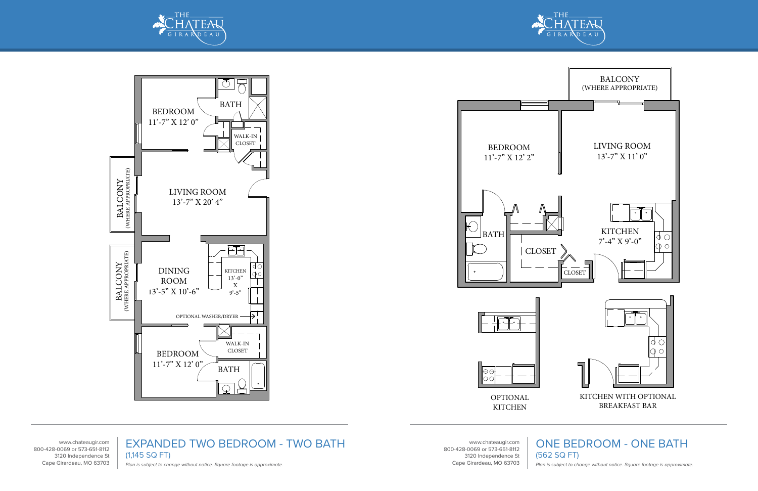



**KITCHEN** 

www.chateaugir.com 800-428-0069 or 573-651-8112 3120 Independence St Cape Girardeau, MO 63703

## ONE BEDROOM - ONE BATH

(562 SQ FT)

Plan is subject to change without notice. Square footage is approximate.







www.chateaugir.com 800-428-0069 or 573-651-8112 3120 Independence St Cape Girardeau, MO 63703

EXPANDED TWO BEDROOM - TWO BATH (1,145 SQ FT) Plan is subject to change without notice. Square footage is approximate.